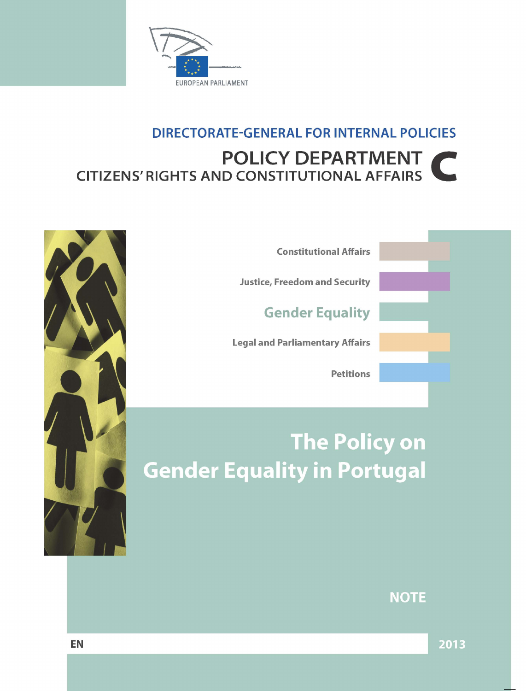

# **DIRECTORATE-GENERAL FOR INTERNAL POLICIES** POLICY DEPARTMENT **CITIZENS' RIGHTS AND CONSTITUTIONAL AFFAIRS**



**Constitutional Affairs** 

**Justice, Freedom and Security** 

**Gender Equality** 

**Legal and Parliamentary Affairs** 

**Petitions** 

# **The Policy on** Gender Equality in Portugal

**NOTE** 

2013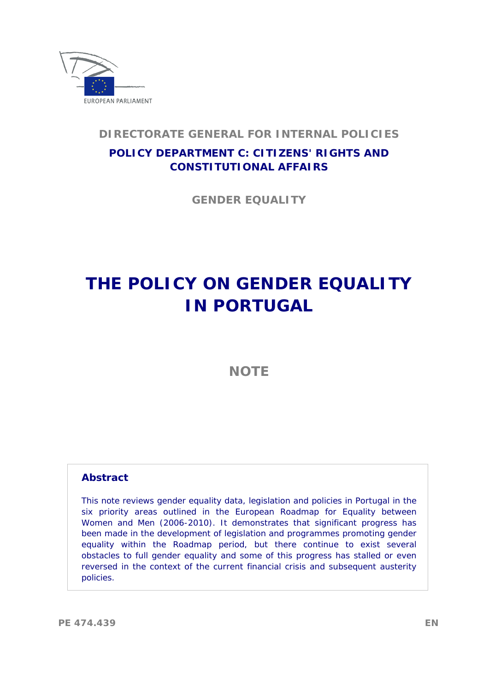

## **DIRECTORATE GENERAL FOR INTERNAL POLICIES**

# **POLICY DEPARTMENT C: CITIZENS' RIGHTS AND CONSTITUTIONAL AFFAIRS**

 **GENDER EQUALITY** 

# **THE POLICY ON GENDER EQUALITY IN PORTUGAL**

**NOTE** 

#### **Abstract**

 policies. This note reviews gender equality data, legislation and policies in Portugal in the six priority areas outlined in the European Roadmap for Equality between Women and Men (2006-2010). It demonstrates that significant progress has been made in the development of legislation and programmes promoting gender equality within the Roadmap period, but there continue to exist several obstacles to full gender equality and some of this progress has stalled or even reversed in the context of the current financial crisis and subsequent austerity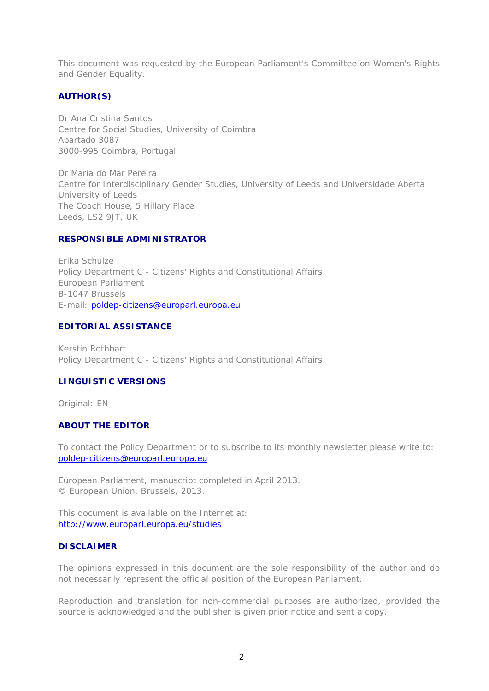This document was requested by the European Parliament's Committee on Women's Rights and Gender Equality.

#### **AUTHOR(S)**

Dr Ana Cristina Santos Centre for Social Studies, University of Coimbra Apartado 3087 3000-995 Coimbra, Portugal

Dr Maria do Mar Pereira Centre for Interdisciplinary Gender Studies, University of Leeds and Universidade Aberta University of Leeds The Coach House, 5 Hillary Place Leeds, LS2 9JT, UK

#### **RESPONSIBLE ADMINISTRATOR**

Erika Schulze Policy Department C - Citizens' Rights and Constitutional Affairs European Parliament B-1047 Brussels E-mail: poldep-citizens@europarl.europa.eu

#### **EDITORIAL ASSISTANCE**

Kerstin Rothbart Policy Department C - Citizens' Rights and Constitutional Affairs

#### **LINGUISTIC VERSIONS**

Original: EN

#### **ABOUT THE EDITOR**

To contact the Policy Department or to subscribe to its monthly newsletter please write to: poldep-citizens@europarl.europa.eu

European Parliament, manuscript completed in April 2013. © European Union, Brussels, 2013.

This document is available on the Internet at: http://www.europarl.europa.eu/studies

#### **DISCLAIMER**

The opinions expressed in this document are the sole responsibility of the author and do not necessarily represent the official position of the European Parliament.

Reproduction and translation for non-commercial purposes are authorized, provided the source is acknowledged and the publisher is given prior notice and sent a copy.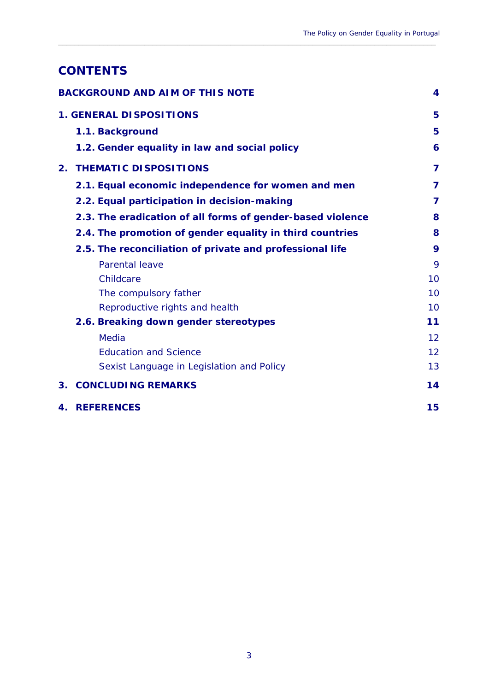# **CONTENTS**

| <b>BACKGROUND AND AIM OF THIS NOTE</b> |                                                            | 4  |
|----------------------------------------|------------------------------------------------------------|----|
|                                        | <b>1. GENERAL DISPOSITIONS</b>                             | 5  |
|                                        | 1.1. Background                                            | 5  |
|                                        | 1.2. Gender equality in law and social policy              | 6  |
| 2.                                     | <b>THEMATIC DISPOSITIONS</b>                               | 7  |
|                                        | 2.1. Equal economic independence for women and men         | 7  |
|                                        | 2.2. Equal participation in decision-making                | 7  |
|                                        | 2.3. The eradication of all forms of gender-based violence | 8  |
|                                        | 2.4. The promotion of gender equality in third countries   | 8  |
|                                        | 2.5. The reconciliation of private and professional life   | 9  |
|                                        | <b>Parental leave</b>                                      | 9  |
|                                        | Childcare                                                  | 10 |
|                                        | The compulsory father                                      | 10 |
|                                        | Reproductive rights and health                             | 10 |
|                                        | 2.6. Breaking down gender stereotypes                      | 11 |
|                                        | <b>Media</b>                                               | 12 |
|                                        | <b>Education and Science</b>                               | 12 |
|                                        | Sexist Language in Legislation and Policy                  | 13 |
| $3_{-}$                                | <b>CONCLUDING REMARKS</b>                                  | 14 |
| 4.                                     | <b>REFERENCES</b>                                          | 15 |

 $\_$  ,  $\_$  ,  $\_$  ,  $\_$  ,  $\_$  ,  $\_$  ,  $\_$  ,  $\_$  ,  $\_$  ,  $\_$  ,  $\_$  ,  $\_$  ,  $\_$  ,  $\_$  ,  $\_$  ,  $\_$  ,  $\_$  ,  $\_$  ,  $\_$  ,  $\_$  ,  $\_$  ,  $\_$  ,  $\_$  ,  $\_$  ,  $\_$  ,  $\_$  ,  $\_$  ,  $\_$  ,  $\_$  ,  $\_$  ,  $\_$  ,  $\_$  ,  $\_$  ,  $\_$  ,  $\_$  ,  $\_$  ,  $\_$  ,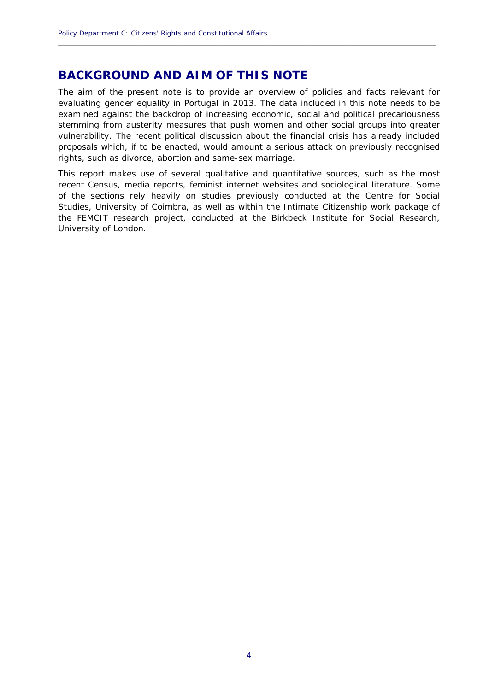# **BACKGROUND AND AIM OF THIS NOTE**

 vulnerability. The recent political discussion about the financial crisis has already included The aim of the present note is to provide an overview of policies and facts relevant for evaluating gender equality in Portugal in 2013. The data included in this note needs to be examined against the backdrop of increasing economic, social and political precariousness stemming from austerity measures that push women and other social groups into greater proposals which, if to be enacted, would amount a serious attack on previously recognised rights, such as divorce, abortion and same-sex marriage.

<span id="page-5-0"></span>**\_\_\_\_\_\_\_\_\_\_\_\_\_\_\_\_\_\_\_\_\_\_\_\_\_\_\_\_\_\_\_\_\_\_\_\_\_\_\_\_\_\_\_\_\_\_\_\_\_\_\_\_\_\_\_\_\_\_\_\_\_\_\_\_\_\_\_\_\_\_\_\_\_\_\_\_\_\_\_\_\_\_\_\_\_\_\_\_\_\_\_\_**

This report makes use of several qualitative and quantitative sources, such as the most recent Census, media reports, feminist internet websites and sociological literature. Some of the sections rely heavily on studies previously conducted at the Centre for Social Studies, University of Coimbra, as well as within the Intimate Citizenship work package of the FEMCIT research project, conducted at the Birkbeck Institute for Social Research, University of London.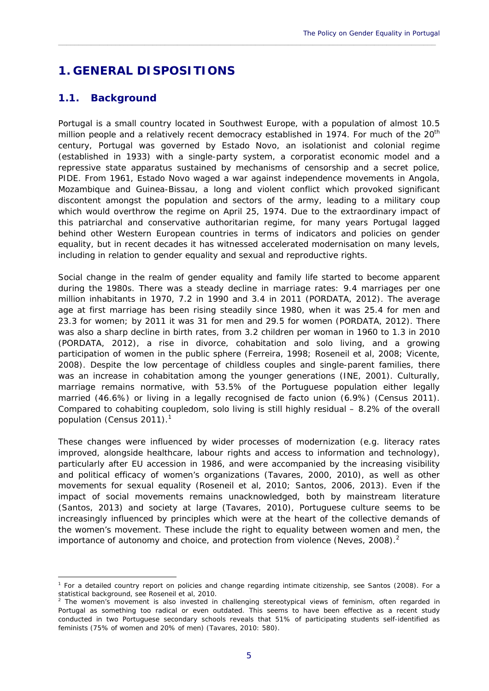# **1. GENERAL DISPOSITIONS**

### **1.1. Background**

1

Portugal is a small country located in Southwest Europe, with a population of almost 10.5 million people and a relatively recent democracy established in 1974. For much of the 20<sup>th</sup> century, Portugal was governed by *Estado Novo*, an isolationist and colonial regime (established in 1933) with a single-party system, a corporatist economic model and a repressive state apparatus sustained by mechanisms of censorship and a secret police, PIDE. From 1961, *Estado Novo* waged a war against independence movements in Angola, Mozambique and Guinea-Bissau, a long and violent conflict which provoked significant discontent amongst the population and sectors of the army, leading to a military coup which would overthrow the regime on April 25, 1974. Due to the extraordinary impact of this patriarchal and conservative authoritarian regime, for many years Portugal lagged behind other Western European countries in terms of indicators and policies on gender equality, but in recent decades it has witnessed accelerated modernisation on many levels, including in relation to gender equality and sexual and reproductive rights.

<span id="page-6-0"></span> $\_$  ,  $\_$  ,  $\_$  ,  $\_$  ,  $\_$  ,  $\_$  ,  $\_$  ,  $\_$  ,  $\_$  ,  $\_$  ,  $\_$  ,  $\_$  ,  $\_$  ,  $\_$  ,  $\_$  ,  $\_$  ,  $\_$  ,  $\_$  ,  $\_$  ,  $\_$  ,  $\_$  ,  $\_$  ,  $\_$  ,  $\_$  ,  $\_$  ,  $\_$  ,  $\_$  ,  $\_$  ,  $\_$  ,  $\_$  ,  $\_$  ,  $\_$  ,  $\_$  ,  $\_$  ,  $\_$  ,  $\_$  ,  $\_$  ,

Social change in the realm of gender equality and family life started to become apparent during the 1980s. There was a steady decline in marriage rates: 9.4 marriages per one million inhabitants in 1970, 7.2 in 1990 and 3.4 in 2011 (PORDATA, 2012). The average age at first marriage has been rising steadily since 1980, when it was 25.4 for men and 23.3 for women; by 2011 it was 31 for men and 29.5 for women (PORDATA, 2012). There was also a sharp decline in birth rates, from 3.2 children per woman in 1960 to 1.3 in 2010 (PORDATA, 2012), a rise in divorce, cohabitation and solo living, and a growing participation of women in the public sphere (Ferreira, 1998; Roseneil *et al*, 2008; Vicente, 2008). Despite the low percentage of childless couples and single-parent families, there was an increase in cohabitation among the younger generations (INE, 2001). Culturally, marriage remains normative, with 53.5% of the Portuguese population either legally married (46.6%) or living in a legally recognised de facto union (6.9%) (Census 2011). Compared to cohabiting coupledom, solo living is still highly residual – 8.2% of the overall population (Census 2011).<sup>1</sup>

These changes were influenced by wider processes of modernization (e.g. literacy rates improved, alongside healthcare, labour rights and access to information and technology), particularly after EU accession in 1986, and were accompanied by the increasing visibility and political efficacy of women's organizations (Tavares, 2000, 2010), as well as other movements for sexual equality (Roseneil et al, 2010; Santos, 2006, 2013). Even if the impact of social movements remains unacknowledged, both by mainstream literature (Santos, 2013) and society at large (Tavares, 2010), Portuguese culture seems to be increasingly influenced by principles which were at the heart of the collective demands of the women's movement. These include the right to equality between women and men, the importance of autonomy and choice, and protection from violence (Neves, 2008).<sup>2</sup>

<sup>1</sup> For a detailed country report on policies and change regarding intimate citizenship, see Santos (2008). For a statistical background, see Roseneil *et al*, 2010.<br><sup>2</sup> The women's movement is also invested in challenging stereotypical views of feminism, often regarded in

 feminists (75% of women and 20% of men) (Tavares, 2010: 580). 5 Portugal as something too radical or even outdated. This seems to have been effective as a recent study conducted in two Portuguese secondary schools reveals that 51% of participating students self-identified as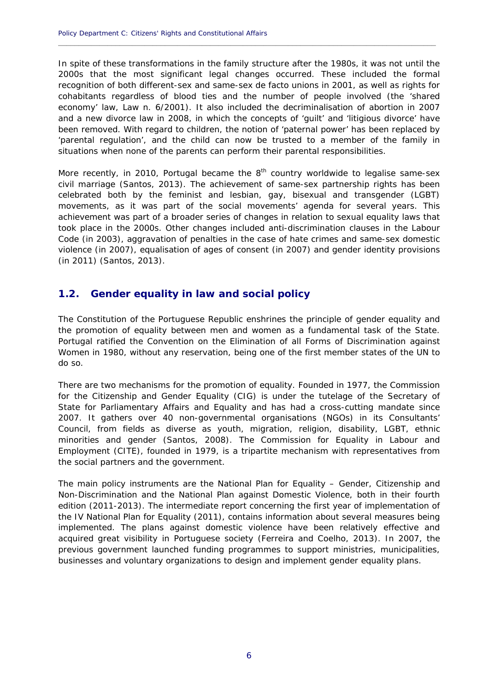In spite of these transformations in the family structure after the 1980s, it was not until the 2000s that the most significant legal changes occurred. These included the formal recognition of both different-sex and same-sex *de facto* unions in 2001, as well as rights for cohabitants regardless of blood ties and the number of people involved (the 'shared economy' law, Law n. 6/2001). It also included the decriminalisation of abortion in 2007 and a new divorce law in 2008, in which the concepts of 'guilt' and 'litigious divorce' have been removed. With regard to children, the notion of 'paternal power' has been replaced by 'parental regulation', and the child can now be trusted to a member of the family in situations when none of the parents can perform their parental responsibilities.

<span id="page-7-0"></span>**\_\_\_\_\_\_\_\_\_\_\_\_\_\_\_\_\_\_\_\_\_\_\_\_\_\_\_\_\_\_\_\_\_\_\_\_\_\_\_\_\_\_\_\_\_\_\_\_\_\_\_\_\_\_\_\_\_\_\_\_\_\_\_\_\_\_\_\_\_\_\_\_\_\_\_\_\_\_\_\_\_\_\_\_\_\_\_\_\_\_\_\_**

More recently, in 2010, Portugal became the  $8<sup>th</sup>$  country worldwide to legalise same-sex civil marriage (Santos, 2013). The achievement of same-sex partnership rights has been celebrated both by the feminist and lesbian, gay, bisexual and transgender (LGBT) movements, as it was part of the social movements' agenda for several years. This achievement was part of a broader series of changes in relation to sexual equality laws that took place in the 2000s. Other changes included anti-discrimination clauses in the Labour Code (in 2003), aggravation of penalties in the case of hate crimes and same-sex domestic violence (in 2007), equalisation of ages of consent (in 2007) and gender identity provisions (in 2011) (Santos, 2013).

#### **1.2. Gender equality in law and social policy**

The Constitution of the Portuguese Republic enshrines the principle of gender equality and the promotion of equality between men and women as a fundamental task of the State. Portugal ratified the Convention on the Elimination of all Forms of Discrimination against Women in 1980, without any reservation, being one of the first member states of the UN to do so.

There are two mechanisms for the promotion of equality. Founded in 1977, the Commission for the Citizenship and Gender Equality (CIG) is under the tutelage of the Secretary of State for Parliamentary Affairs and Equality and has had a cross-cutting mandate since 2007. It gathers over 40 non-governmental organisations (NGOs) in its Consultants' Council, from fields as diverse as youth, migration, religion, disability, LGBT, ethnic minorities and gender (Santos, 2008). The Commission for Equality in Labour and Employment (CITE), founded in 1979, is a tripartite mechanism with representatives from the social partners and the government.

The main policy instruments are the National Plan for Equality – Gender, Citizenship and Non-Discrimination and the National Plan against Domestic Violence, both in their fourth edition (2011-2013). The intermediate report concerning the first year of implementation of the IV National Plan for Equality (2011), contains information about several measures being implemented. The plans against domestic violence have been relatively effective and acquired great visibility in Portuguese society (Ferreira and Coelho, 2013). In 2007, the previous government launched funding programmes to support ministries, municipalities, businesses and voluntary organizations to design and implement gender equality plans.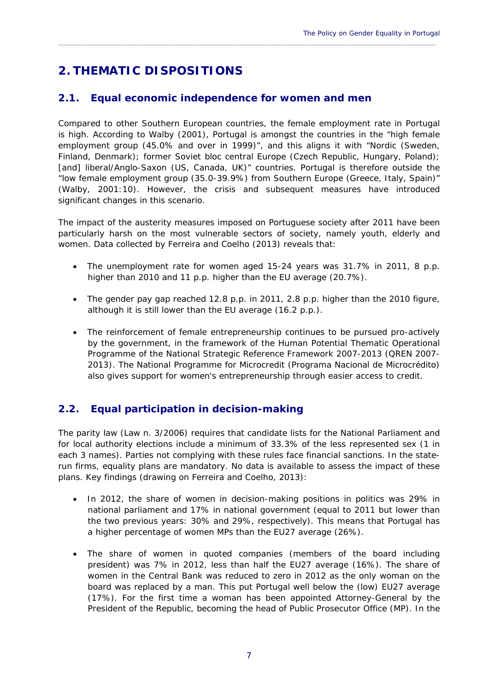# **2. THEMATIC DISPOSITIONS**

#### **2.1. Equal economic independence for women and men**

Compared to other Southern European countries, the female employment rate in Portugal is high. According to Walby (2001), Portugal is amongst the countries in the "high female employment group (45.0% and over in 1999)", and this aligns it with "Nordic (Sweden, Finland, Denmark); former Soviet bloc central Europe (Czech Republic, Hungary, Poland); [and] liberal/Anglo-Saxon (US, Canada, UK)" countries. Portugal is therefore outside the "low female employment group (35.0-39.9%) from Southern Europe (Greece, Italy, Spain)" (Walby, 2001:10). However, the crisis and subsequent measures have introduced significant changes in this scenario.

<span id="page-8-0"></span> $\_$  ,  $\_$  ,  $\_$  ,  $\_$  ,  $\_$  ,  $\_$  ,  $\_$  ,  $\_$  ,  $\_$  ,  $\_$  ,  $\_$  ,  $\_$  ,  $\_$  ,  $\_$  ,  $\_$  ,  $\_$  ,  $\_$  ,  $\_$  ,  $\_$  ,  $\_$  ,  $\_$  ,  $\_$  ,  $\_$  ,  $\_$  ,  $\_$  ,  $\_$  ,  $\_$  ,  $\_$  ,  $\_$  ,  $\_$  ,  $\_$  ,  $\_$  ,  $\_$  ,  $\_$  ,  $\_$  ,  $\_$  ,  $\_$  ,

The impact of the austerity measures imposed on Portuguese society after 2011 have been particularly harsh on the most vulnerable sectors of society, namely youth, elderly and women. Data collected by Ferreira and Coelho (2013) reveals that:

- The unemployment rate for women aged 15-24 years was 31.7% in 2011, 8 p.p. higher than 2010 and 11 p.p. higher than the EU average (20.7%).
- although it is still lower than the EU average (16.2 p.p.). The gender pay gap reached 12.8 p.p. in 2011, 2.8 p.p. higher than the 2010 figure,
- The reinforcement of female entrepreneurship continues to be pursued pro-actively by the government, in the framework of the Human Potential Thematic Operational Programme of the National Strategic Reference Framework 2007-2013 (QREN 2007 2013). The National Programme for Microcredit (*Programa Nacional de Microcrédito*) also gives support for women's entrepreneurship through easier access to credit.

### **2.2. Equal participation in decision-making**

The parity law (Law n. 3/2006) requires that candidate lists for the National Parliament and for local authority elections include a minimum of 33.3% of the less represented sex (1 in each 3 names). Parties not complying with these rules face financial sanctions. In the staterun firms, equality plans are mandatory. No data is available to assess the impact of these plans. Key findings (drawing on Ferreira and Coelho, 2013):

- In 2012, the share of women in decision-making positions in politics was 29% in national parliament and 17% in national government (equal to 2011 but lower than the two previous years: 30% and 29%, respectively). This means that Portugal has a higher percentage of women MPs than the EU27 average (26%).
- The share of women in quoted companies (members of the board including president) was 7% in 2012, less than half the EU27 average (16%). The share of women in the Central Bank was reduced to zero in 2012 as the only woman on the board was replaced by a man. This put Portugal well below the (low) EU27 average (17%). For the first time a woman has been appointed Attorney-General by the President of the Republic, becoming the head of Public Prosecutor Office (MP). In the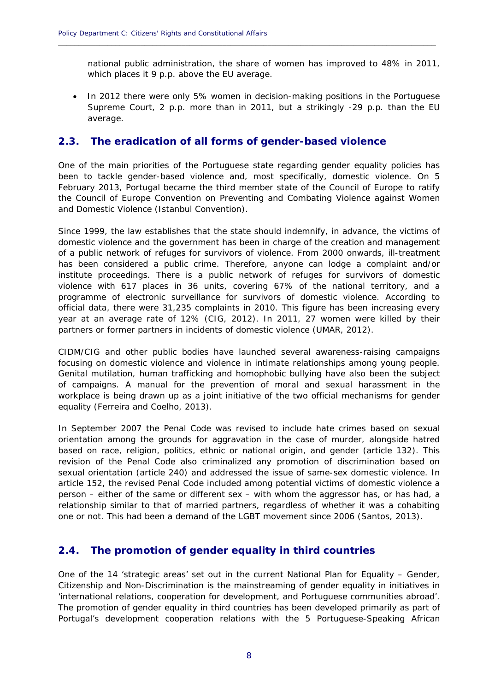national public administration, the share of women has improved to 48% in 2011, which places it 9 p.p. above the EU average.

<span id="page-9-0"></span>**\_\_\_\_\_\_\_\_\_\_\_\_\_\_\_\_\_\_\_\_\_\_\_\_\_\_\_\_\_\_\_\_\_\_\_\_\_\_\_\_\_\_\_\_\_\_\_\_\_\_\_\_\_\_\_\_\_\_\_\_\_\_\_\_\_\_\_\_\_\_\_\_\_\_\_\_\_\_\_\_\_\_\_\_\_\_\_\_\_\_\_\_**

• In 2012 there were only 5% women in decision-making positions in the Portuguese Supreme Court, 2 p.p. more than in 2011, but a strikingly -29 p.p. than the EU average.

#### **2.3. The eradication of all forms of gender-based violence**

One of the main priorities of the Portuguese state regarding gender equality policies has been to tackle gender-based violence and, most specifically, domestic violence. On 5 February 2013, Portugal became the third member state of the Council of Europe to ratify the Council of Europe Convention on Preventing and Combating Violence against Women and Domestic Violence (Istanbul Convention).

 Since 1999, the law establishes that the state should indemnify, in advance, the victims of domestic violence and the government has been in charge of the creation and management of a public network of refuges for survivors of violence. From 2000 onwards, ill-treatment has been considered a public crime. Therefore, anyone can lodge a complaint and/or institute proceedings. There is a public network of refuges for survivors of domestic violence with 617 places in 36 units, covering 67% of the national territory, and a programme of electronic surveillance for survivors of domestic violence. According to official data, there were 31,235 complaints in 2010. This figure has been increasing every year at an average rate of 12% (CIG, 2012). In 2011, 27 women were killed by their partners or former partners in incidents of domestic violence (UMAR, 2012).

CIDM/CIG and other public bodies have launched several awareness-raising campaigns focusing on domestic violence and violence in intimate relationships among young people. Genital mutilation, human trafficking and homophobic bullying have also been the subject of campaigns. A manual for the prevention of moral and sexual harassment in the workplace is being drawn up as a joint initiative of the two official mechanisms for gender equality (Ferreira and Coelho, 2013).

In September 2007 the Penal Code was revised to include hate crimes based on sexual orientation among the grounds for aggravation in the case of murder, alongside hatred based on race, religion, politics, ethnic or national origin, and gender (article 132). This revision of the Penal Code also criminalized any promotion of discrimination based on sexual orientation (article 240) and addressed the issue of same-sex domestic violence. In article 152, the revised Penal Code included among potential victims of domestic violence a person – either of the same or different sex – with whom the aggressor has, or has had, a relationship similar to that of married partners, regardless of whether it was a cohabiting one or not. This had been a demand of the LGBT movement since 2006 (Santos, 2013).

#### **2.4. The promotion of gender equality in third countries**

One of the 14 'strategic areas' set out in the current National Plan for Equality – Gender, Citizenship and Non-Discrimination is the mainstreaming of gender equality in initiatives in 'international relations, cooperation for development, and Portuguese communities abroad'. The promotion of gender equality in third countries has been developed primarily as part of Portugal's development cooperation relations with the 5 Portuguese-Speaking African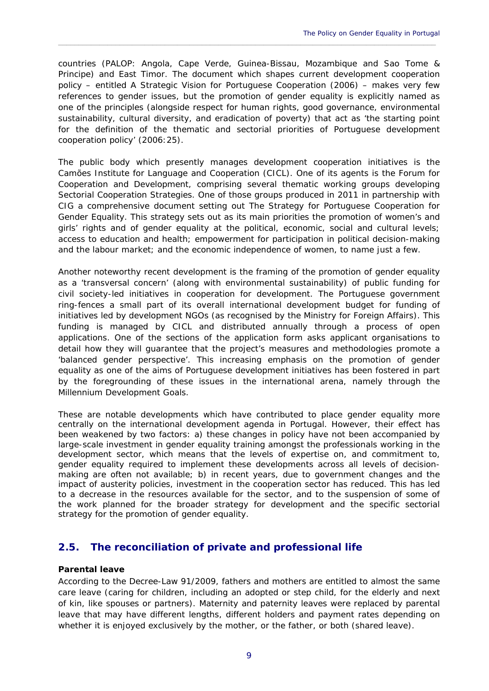countries (PALOP: Angola, Cape Verde, Guinea-Bissau, Mozambique and Sao Tome & Principe) and East Timor. The document which shapes current development cooperation policy – entitled *A Strategic Vision for Portuguese Cooperation* (2006) – makes very few references to gender issues, but the promotion of gender equality is explicitly named as one of the principles (alongside respect for human rights, good governance, environmental sustainability, cultural diversity, and eradication of poverty) that act as 'the starting point for the definition of the thematic and sectorial priorities of Portuguese development cooperation policy' (2006:25).

<span id="page-10-0"></span> $\_$  ,  $\_$  ,  $\_$  ,  $\_$  ,  $\_$  ,  $\_$  ,  $\_$  ,  $\_$  ,  $\_$  ,  $\_$  ,  $\_$  ,  $\_$  ,  $\_$  ,  $\_$  ,  $\_$  ,  $\_$  ,  $\_$  ,  $\_$  ,  $\_$  ,  $\_$  ,  $\_$  ,  $\_$  ,  $\_$  ,  $\_$  ,  $\_$  ,  $\_$  ,  $\_$  ,  $\_$  ,  $\_$  ,  $\_$  ,  $\_$  ,  $\_$  ,  $\_$  ,  $\_$  ,  $\_$  ,  $\_$  ,  $\_$  ,

and the labour market; and the economic independence of women, to name just a few. The public body which presently manages development cooperation initiatives is the Camões Institute for Language and Cooperation (CICL). One of its agents is the Forum for Cooperation and Development, comprising several thematic working groups developing Sectorial Cooperation Strategies. One of those groups produced in 2011 in partnership with CIG a comprehensive document setting out *The Strategy for Portuguese Cooperation for Gender Equality*. This strategy sets out as its main priorities the promotion of women's and girls' rights and of gender equality at the political, economic, social and cultural levels; access to education and health; empowerment for participation in political decision-making

Another noteworthy recent development is the framing of the promotion of gender equality as a 'transversal concern' (along with environmental sustainability) of public funding for civil society-led initiatives in cooperation for development. The Portuguese government ring-fences a small part of its overall international development budget for funding of initiatives led by development NGOs (as recognised by the Ministry for Foreign Affairs). This funding is managed by CICL and distributed annually through a process of open applications. One of the sections of the application form asks applicant organisations to detail how they will guarantee that the project's measures and methodologies promote a 'balanced gender perspective'. This increasing emphasis on the promotion of gender equality as one of the aims of Portuguese development initiatives has been fostered in part by the foregrounding of these issues in the international arena, namely through the Millennium Development Goals.

These are notable developments which have contributed to place gender equality more centrally on the international development agenda in Portugal. However, their effect has been weakened by two factors: a) these changes in policy have not been accompanied by large-scale investment in gender equality training amongst the professionals working in the development sector, which means that the levels of expertise on, and commitment to, gender equality required to implement these developments across all levels of decisionmaking are often not available; b) in recent years, due to government changes and the impact of austerity policies, investment in the cooperation sector has reduced. This has led to a decrease in the resources available for the sector, and to the suspension of some of the work planned for the broader strategy for development and the specific sectorial strategy for the promotion of gender equality.

#### **2.5. The reconciliation of private and professional life**

#### *Parental leave*

According to the Decree-Law 91/2009, fathers and mothers are entitled to almost the same care leave (caring for children, including an adopted or step child, for the elderly and next of kin, like spouses or partners). Maternity and paternity leaves were replaced by parental leave that may have different lengths, different holders and payment rates depending on whether it is enjoyed exclusively by the mother, or the father, or both (shared leave).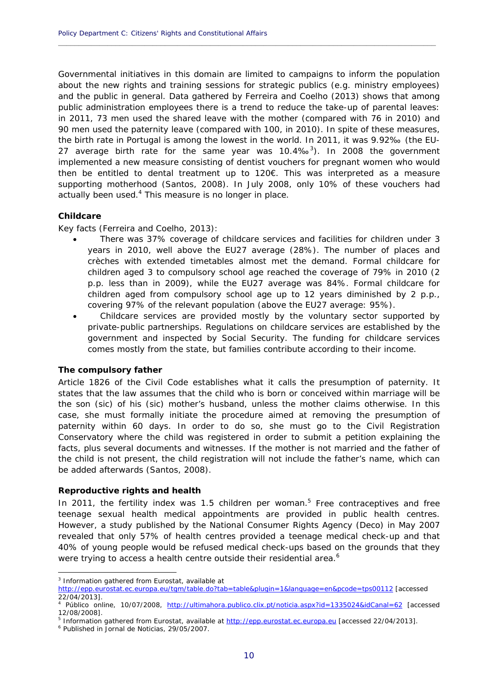Governmental initiatives in this domain are limited to campaigns to inform the population about the new rights and training sessions for strategic publics (e.g. ministry employees) and the public in general. Data gathered by Ferreira and Coelho (2013) shows that among public administration employees there is a trend to reduce the take-up of parental leaves: in 2011, 73 men used the shared leave with the mother (compared with 76 in 2010) and 90 men used the paternity leave (compared with 100, in 2010). In spite of these measures, the birth rate in Portugal is among the lowest in the world. In 2011, it was 9.92‰ (the EU-27 average birth rate for the same year was  $10.4\%$ <sup>3</sup>). In 2008 the government implemented a new measure consisting of dentist vouchers for pregnant women who would then be entitled to dental treatment up to 120€. This was interpreted as a measure supporting motherhood (Santos, 2008). In July 2008, only 10% of these vouchers had actually been used.<sup>4</sup> This measure is no longer in place.

<span id="page-11-0"></span>**\_\_\_\_\_\_\_\_\_\_\_\_\_\_\_\_\_\_\_\_\_\_\_\_\_\_\_\_\_\_\_\_\_\_\_\_\_\_\_\_\_\_\_\_\_\_\_\_\_\_\_\_\_\_\_\_\_\_\_\_\_\_\_\_\_\_\_\_\_\_\_\_\_\_\_\_\_\_\_\_\_\_\_\_\_\_\_\_\_\_\_\_**

#### *Childcare*

Key facts (Ferreira and Coelho, 2013):

- There was 37% coverage of childcare services and facilities for children under 3 years in 2010, well above the EU27 average (28%). The number of places and crèches with extended timetables almost met the demand. Formal childcare for children aged 3 to compulsory school age reached the coverage of 79% in 2010 (2 p.p. less than in 2009), while the EU27 average was 84%. Formal childcare for children aged from compulsory school age up to 12 years diminished by 2 p.p., covering 97% of the relevant population (above the EU27 average: 95%).
- $\bullet$ Childcare services are provided mostly by the voluntary sector supported by private-public partnerships. Regulations on childcare services are established by the government and inspected by Social Security. The funding for childcare services comes mostly from the state, but families contribute according to their income.

#### *The compulsory father*

 case, she must formally initiate the procedure aimed at removing the presumption of Article 1826 of the Civil Code establishes what it calls the presumption of paternity. It states that the law assumes that the child who is born or conceived within marriage will be the son (sic) of his (sic) mother's husband, unless the mother claims otherwise. In this paternity within 60 days. In order to do so, she must go to the Civil Registration Conservatory where the child was registered in order to submit a petition explaining the facts, plus several documents and witnesses. If the mother is not married and the father of the child is not present, the child registration will not include the father's name, which can be added afterwards (Santos, 2008).

#### *Reproductive rights and health*

were trying to access a health centre outside their residential area.<sup>6</sup> In 2011, the fertility index was 1.5 children per woman.<sup>5</sup> Free contraceptives and free teenage sexual health medical appointments are provided in public health centres. However, a study published by the National Consumer Rights Agency (Deco) in May 2007 revealed that only 57% of health centres provided a teenage medical check-up and that 40% of young people would be refused medical check-ups based on the grounds that they

1

<sup>&</sup>lt;sup>3</sup> Information gathered from Eurostat, available at

<sup>22/04/2013].</sup> http://epp.eurostat.ec.europa.eu/tgm/table.do?tab=table&plugin=1&language=en&pcode=tps00112 [accessed

<sup>&</sup>lt;sup>4</sup> Público online, 10/07/2008, <u>http://ultimahora.publico.clix.pt/noticia.aspx?id=1335024&idCanal=62</u> [accessed<br>12/08/2008].<br><sup>5</sup> Information.gathorod.from.Eurostat.gygilable.at.http://onn.eurostat.gs.eurona.eu.Jaccessed.3 12/08/2008].

<sup>&</sup>lt;sup>5</sup> Information gathered from Eurostat, available at <u>http://epp.eurostat.ec.europa.eu</u> [accessed 22/04/2013].<br><sup>6</sup> Published in Jernal de Noticies, 20/05/2007

Published in *Jornal de Noticias*, 29/05/2007.<br>10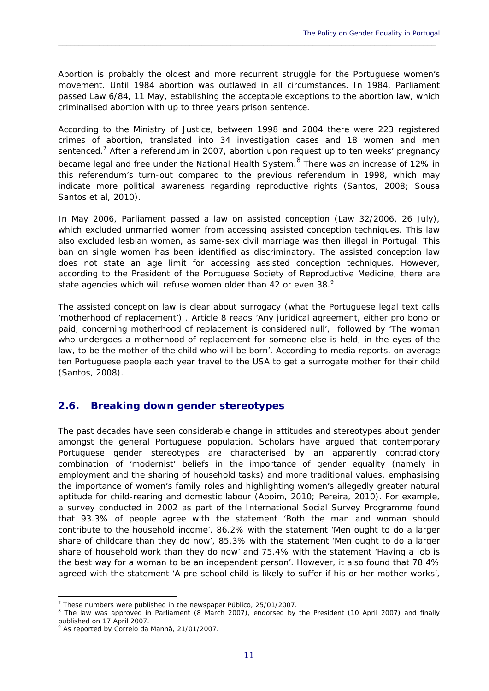criminalised abortion with up to three years prison sentence. Abortion is probably the oldest and more recurrent struggle for the Portuguese women's movement. Until 1984 abortion was outlawed in all circumstances. In 1984, Parliament passed Law 6/84, 11 May, establishing the acceptable exceptions to the abortion law, which

<span id="page-12-0"></span> $\_$  ,  $\_$  ,  $\_$  ,  $\_$  ,  $\_$  ,  $\_$  ,  $\_$  ,  $\_$  ,  $\_$  ,  $\_$  ,  $\_$  ,  $\_$  ,  $\_$  ,  $\_$  ,  $\_$  ,  $\_$  ,  $\_$  ,  $\_$  ,  $\_$  ,  $\_$  ,  $\_$  ,  $\_$  ,  $\_$  ,  $\_$  ,  $\_$  ,  $\_$  ,  $\_$  ,  $\_$  ,  $\_$  ,  $\_$  ,  $\_$  ,  $\_$  ,  $\_$  ,  $\_$  ,  $\_$  ,  $\_$  ,  $\_$  ,

According to the Ministry of Justice, between 1998 and 2004 there were 223 registered crimes of abortion, translated into 34 investigation cases and 18 women and men sentenced.<sup>7</sup> After a referendum in 2007, abortion upon request up to ten weeks' pregnancy became legal and free under the National Health System.<sup>8</sup> There was an increase of 12% in this referendum's turn-out compared to the previous referendum in 1998, which may indicate more political awareness regarding reproductive rights (Santos, 2008; Sousa Santos *et al*, 2010).

state agencies which will refuse women older than 42 or even 38. $9$ In May 2006, Parliament passed a law on assisted conception (Law 32/2006, 26 July), which excluded unmarried women from accessing assisted conception techniques. This law also excluded lesbian women, as same-sex civil marriage was then illegal in Portugal. This ban on single women has been identified as discriminatory. The assisted conception law does not state an age limit for accessing assisted conception techniques. However, according to the President of the Portuguese Society of Reproductive Medicine, there are

The assisted conception law is clear about surrogacy (what the Portuguese legal text calls 'motherhood of replacement') . Article 8 reads 'Any juridical agreement, either pro bono or paid, concerning motherhood of replacement is considered null', followed by 'The woman who undergoes a motherhood of replacement for someone else is held, in the eyes of the law, to be the mother of the child who will be born'. According to media reports, on average ten Portuguese people each year travel to the USA to get a surrogate mother for their child (Santos, 2008).

#### **2.6. Breaking down gender stereotypes**

 share of household work than they do now' and 75.4% with the statement 'Having a job is The past decades have seen considerable change in attitudes and stereotypes about gender amongst the general Portuguese population. Scholars have argued that contemporary Portuguese gender stereotypes are characterised by an apparently contradictory combination of 'modernist' beliefs in the importance of gender equality (namely in employment and the sharing of household tasks) and more traditional values, emphasising the importance of women's family roles and highlighting women's allegedly greater natural aptitude for child-rearing and domestic labour (Aboim, 2010; Pereira, 2010). For example, a survey conducted in 2002 as part of the International Social Survey Programme found that 93.3% of people agree with the statement 'Both the man and woman should contribute to the household income', 86.2% with the statement 'Men ought to do a larger share of childcare than they do now', 85.3% with the statement 'Men ought to do a larger the best way for a woman to be an independent person'. However, it also found that 78.4% agreed with the statement 'A pre-school child is likely to suffer if his or her mother works',

1

<sup>&</sup>lt;sup>7</sup> These numbers were published in the newspaper Público, 25/01/2007.

ŗ. published on 17 April 2007. These numbers were published in the newspaper *Público*, 25/01/2007.<br><sup>8</sup> The law was approved in Parliament (8 March 2007), endorsed by the President (10 April 2007) and finally<br>published on 17 April 2007.<br>9 As reported by

As reported by *Correio da Manhã*, 21/01/2007.<br>11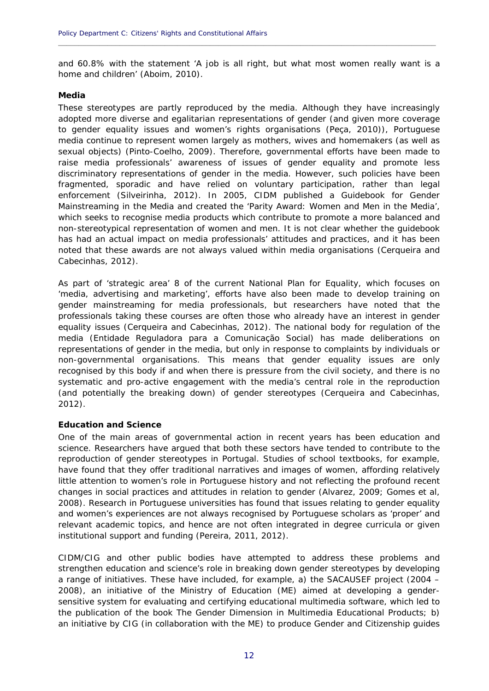and 60.8% with the statement 'A job is all right, but what most women really want is a home and children' (Aboim, 2010).

<span id="page-13-0"></span>**\_\_\_\_\_\_\_\_\_\_\_\_\_\_\_\_\_\_\_\_\_\_\_\_\_\_\_\_\_\_\_\_\_\_\_\_\_\_\_\_\_\_\_\_\_\_\_\_\_\_\_\_\_\_\_\_\_\_\_\_\_\_\_\_\_\_\_\_\_\_\_\_\_\_\_\_\_\_\_\_\_\_\_\_\_\_\_\_\_\_\_\_**

#### *Media*

These stereotypes are partly reproduced by the media. Although they have increasingly adopted more diverse and egalitarian representations of gender (and given more coverage to gender equality issues and women's rights organisations (Peça, 2010)), Portuguese media continue to represent women largely as mothers, wives and homemakers (as well as sexual objects) (Pinto-Coelho, 2009). Therefore, governmental efforts have been made to raise media professionals' awareness of issues of gender equality and promote less discriminatory representations of gender in the media. However, such policies have been fragmented, sporadic and have relied on voluntary participation, rather than legal enforcement (Silveirinha, 2012). In 2005, CIDM published a *Guidebook for Gender Mainstreaming in the Media* and created the 'Parity Award: Women and Men in the Media', which seeks to recognise media products which contribute to promote a more balanced and non-stereotypical representation of women and men. It is not clear whether the guidebook has had an actual impact on media professionals' attitudes and practices, and it has been noted that these awards are not always valued within media organisations (Cerqueira and Cabecinhas, 2012).

As part of 'strategic area' 8 of the current National Plan for Equality, which focuses on 'media, advertising and marketing', efforts have also been made to develop training on gender mainstreaming for media professionals, but researchers have noted that the professionals taking these courses are often those who already have an interest in gender equality issues (Cerqueira and Cabecinhas, 2012). The national body for regulation of the media (*Entidade Reguladora para a Comunicação Social)* has made deliberations on representations of gender in the media, but only in response to complaints by individuals or non-governmental organisations. This means that gender equality issues are only recognised by this body if and when there is pressure from the civil society, and there is no systematic and pro-active engagement with the media's central role in the reproduction (and potentially the breaking down) of gender stereotypes (Cerqueira and Cabecinhas, 2012).

#### *Education and Science*

One of the main areas of governmental action in recent years has been education and science. Researchers have argued that both these sectors have tended to contribute to the reproduction of gender stereotypes in Portugal. Studies of school textbooks, for example, have found that they offer traditional narratives and images of women, affording relatively little attention to women's role in Portuguese history and not reflecting the profound recent changes in social practices and attitudes in relation to gender (Alvarez, 2009; Gomes *et al,*  2008). Research in Portuguese universities has found that issues relating to gender equality and women's experiences are not always recognised by Portuguese scholars as 'proper' and relevant academic topics, and hence are not often integrated in degree curricula or given institutional support and funding (Pereira, 2011, 2012).

 an initiative by CIG (in collaboration with the ME) to produce *Gender and Citizenship* guides CIDM/CIG and other public bodies have attempted to address these problems and strengthen education and science's role in breaking down gender stereotypes by developing a range of initiatives. These have included, for example, a) the SACAUSEF project (2004 – 2008), an initiative of the Ministry of Education (ME) aimed at developing a gendersensitive system for evaluating and certifying educational multimedia software, which led to the publication of the book *The Gender Dimension in Multimedia Educational Products*; b)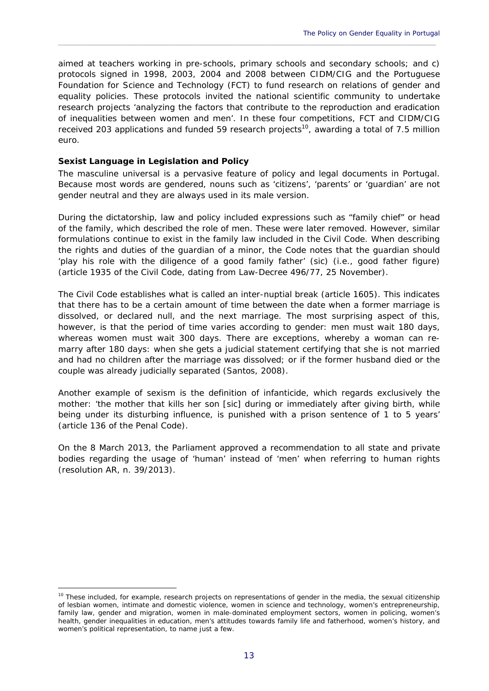aimed at teachers working in pre-schools, primary schools and secondary schools; and c) protocols signed in 1998, 2003, 2004 and 2008 between CIDM/CIG and the Portuguese Foundation for Science and Technology (FCT) to fund research on relations of gender and equality policies. These protocols invited the national scientific community to undertake research projects 'analyzing the factors that contribute to the reproduction and eradication of inequalities between women and men'. In these four competitions, FCT and CIDM/CIG received 203 applications and funded 59 research projects<sup>10</sup>, awarding a total of 7.5 million euro.

<span id="page-14-0"></span> $\_$  ,  $\_$  ,  $\_$  ,  $\_$  ,  $\_$  ,  $\_$  ,  $\_$  ,  $\_$  ,  $\_$  ,  $\_$  ,  $\_$  ,  $\_$  ,  $\_$  ,  $\_$  ,  $\_$  ,  $\_$  ,  $\_$  ,  $\_$  ,  $\_$  ,  $\_$  ,  $\_$  ,  $\_$  ,  $\_$  ,  $\_$  ,  $\_$  ,  $\_$  ,  $\_$  ,  $\_$  ,  $\_$  ,  $\_$  ,  $\_$  ,  $\_$  ,  $\_$  ,  $\_$  ,  $\_$  ,  $\_$  ,  $\_$  ,

#### *Sexist Language in Legislation and Policy*

1

 The masculine universal is a pervasive feature of policy and legal documents in Portugal. Because most words are gendered, nouns such as 'citizens', 'parents' or 'guardian' are not gender neutral and they are always used in its male version.

During the dictatorship, law and policy included expressions such as "family chief" or head of the family, which described the role of men. These were later removed. However, similar formulations continue to exist in the family law included in the Civil Code. When describing the rights and duties of the guardian of a minor, the Code notes that the guardian should 'play his role with the diligence of a good family father' (sic) (i.e., good father figure) (article 1935 of the Civil Code, dating from Law-Decree 496/77, 25 November).

The Civil Code establishes what is called an inter-nuptial break (article 1605). This indicates that there has to be a certain amount of time between the date when a former marriage is dissolved, or declared null, and the next marriage. The most surprising aspect of this, however, is that the period of time varies according to gender: men must wait 180 days, whereas women must wait 300 days. There are exceptions, whereby a woman can re marry after 180 days: when she gets a judicial statement certifying that she is not married and had no children after the marriage was dissolved; or if the former husband died or the couple was already judicially separated (Santos, 2008).  $\ddot{\phantom{0}}$ 

Another example of sexism is the definition of infanticide, which regards exclusively the mother: 'the mother that kills her son [sic] during or immediately after giving birth, while being under its disturbing influence, is punished with a prison sentence of 1 to 5 years' (article 136 of the Penal Code).

On the 8 March 2013, the Parliament approved a recommendation to all state and private bodies regarding the usage of 'human' instead of 'men' when referring to human rights (resolution AR, n. 39/2013).

 $10$  These included, for example, research projects on representations of gender in the media, the sexual citizenship of lesbian women, intimate and domestic violence, women in science and technology, women's entrepreneurship, family law, gender and migration, women in male-dominated employment sectors, women in policing, women's health, gender inequalities in education, men's attitudes towards family life and fatherhood, women's history, and women's political representation, to name just a few.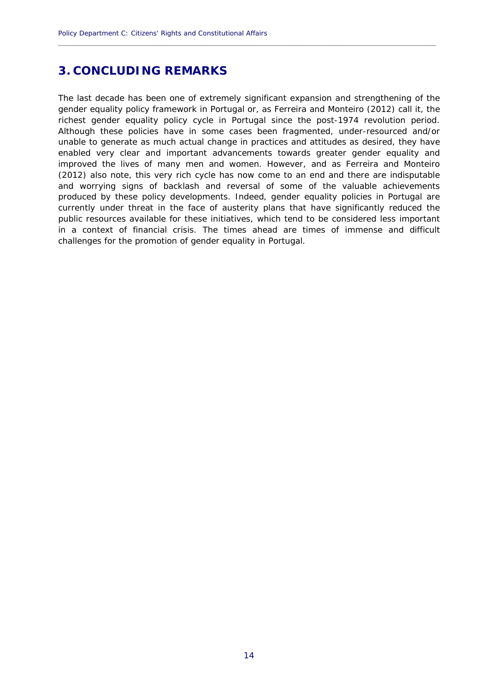# **3. CONCLUDING REMARKS**

 The last decade has been one of extremely significant expansion and strengthening of the challenges for the promotion of gender equality in Portugal. gender equality policy framework in Portugal or, as Ferreira and Monteiro (2012) call it, the richest gender equality policy cycle in Portugal since the post-1974 revolution period. Although these policies have in some cases been fragmented, under-resourced and/or unable to generate as much actual change in practices and attitudes as desired, they have enabled very clear and important advancements towards greater gender equality and improved the lives of many men and women. However, and as Ferreira and Monteiro (2012) also note, this very rich cycle has now come to an end and there are indisputable and worrying signs of backlash and reversal of some of the valuable achievements produced by these policy developments. Indeed, gender equality policies in Portugal are currently under threat in the face of austerity plans that have significantly reduced the public resources available for these initiatives, which tend to be considered less important in a context of financial crisis. The times ahead are times of immense and difficult challenges for the promotion of gender equality in Portugal. 14

<span id="page-15-0"></span>**\_\_\_\_\_\_\_\_\_\_\_\_\_\_\_\_\_\_\_\_\_\_\_\_\_\_\_\_\_\_\_\_\_\_\_\_\_\_\_\_\_\_\_\_\_\_\_\_\_\_\_\_\_\_\_\_\_\_\_\_\_\_\_\_\_\_\_\_\_\_\_\_\_\_\_\_\_\_\_\_\_\_\_\_\_\_\_\_\_\_\_\_**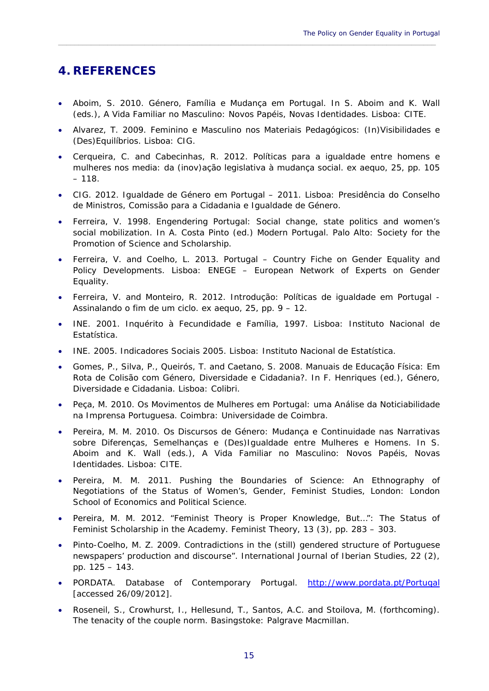# **4. REFERENCES**

 Aboim, S. 2010. Género, Família e Mudança em Portugal. In S. Aboim and K. Wall (eds.), *A Vida Familiar no Masculino: Novos Papéis, Novas Identidades*. Lisboa: CITE.

<span id="page-16-0"></span> $\_$  ,  $\_$  ,  $\_$  ,  $\_$  ,  $\_$  ,  $\_$  ,  $\_$  ,  $\_$  ,  $\_$  ,  $\_$  ,  $\_$  ,  $\_$  ,  $\_$  ,  $\_$  ,  $\_$  ,  $\_$  ,  $\_$  ,  $\_$  ,  $\_$  ,  $\_$  ,  $\_$  ,  $\_$  ,  $\_$  ,  $\_$  ,  $\_$  ,  $\_$  ,  $\_$  ,  $\_$  ,  $\_$  ,  $\_$  ,  $\_$  ,  $\_$  ,  $\_$  ,  $\_$  ,  $\_$  ,  $\_$  ,  $\_$  ,

- Alvarez, T. 2009. *Feminino e Masculino nos Materiais Pedagógicos: (In)Visibilidades e (Des)Equilíbrios*. Lisboa: CIG.
- Cerqueira, C. and Cabecinhas, R. 2012. Políticas para a igualdade entre homens e mulheres nos media: da (inov)ação legislativa à mudança social. *ex aequo*, 25, pp. 105  $-118.$
- CIG. 2012. *Igualdade de Género em Portugal 2011*. Lisboa: Presidência do Conselho de Ministros, Comissão para a Cidadania e Igualdade de Género.
- Ferreira, V. 1998. Engendering Portugal: Social change, state politics and women's social mobilization. In A. Costa Pinto (ed.) *Modern Portugal*. Palo Alto: Society for the Promotion of Science and Scholarship.
- Ferreira, V. and Coelho, L. 2013. *Portugal Country Fiche on Gender Equality and Policy Developments*. Lisboa: ENEGE – European Network of Experts on Gender Equality.
- Ferreira, V. and Monteiro, R. 2012. Introdução: Políticas de igualdade em Portugal Assinalando o fim de um ciclo. *ex aequo*, 25, pp. 9 – 12.
- INE. 2001. *Inquérito à Fecundidade e Família, 1997*. Lisboa: Instituto Nacional de Estatística.
- INE. 2005. *Indicadores Sociais 2005.* Lisboa: Instituto Nacional de Estatística.
- Gomes, P., Silva, P., Queirós, T. and Caetano, S. 2008. Manuais de Educação Física: Em Rota de Colisão com Género, Diversidade e Cidadania?. In F. Henriques (ed.), *Género, Diversidade e Cidadania*. Lisboa: Colibri.
- Peça, M. 2010. *Os Movimentos de Mulheres em Portugal: uma Análise da Noticiabilidade na Imprensa Portuguesa*. Coimbra: Universidade de Coimbra.
- Pereira, M. M. 2010. Os Discursos de Género: Mudança e Continuidade nas Narrativas sobre Diferenças, Semelhanças e (Des)Igualdade entre Mulheres e Homens. In S. Aboim and K. Wall (eds.), *A Vida Familiar no Masculino: Novos Papéis, Novas Identidades*. Lisboa: CITE.
- Pereira, M. M. 2011. *Pushing the Boundaries of Science: An Ethnography of Negotiations of the Status of Women's, Gender, Feminist Studies*, London: London School of Economics and Political Science.
- Pereira, M. M. 2012. "Feminist Theory is Proper Knowledge, But…": The Status of Feminist Scholarship in the Academy. *Feminist Theory*, 13 (3), pp. 283 – 303.
- Pinto-Coelho, M. Z. 2009. Contradictions in the (still) gendered structure of Portuguese newspapers' production and discourse". *International Journal of Iberian Studies*, 22 (2), pp. 125 – 143.
- PORDATA. *Database of Contemporary Portugal*. http://www.pordata.pt/Portugal [accessed 26/09/2012].
- Roseneil, S., Crowhurst, I., Hellesund, T., Santos, A.C. and Stoilova, M. (forthcoming). *The tenacity of the couple norm*. Basingstoke: Palgrave Macmillan.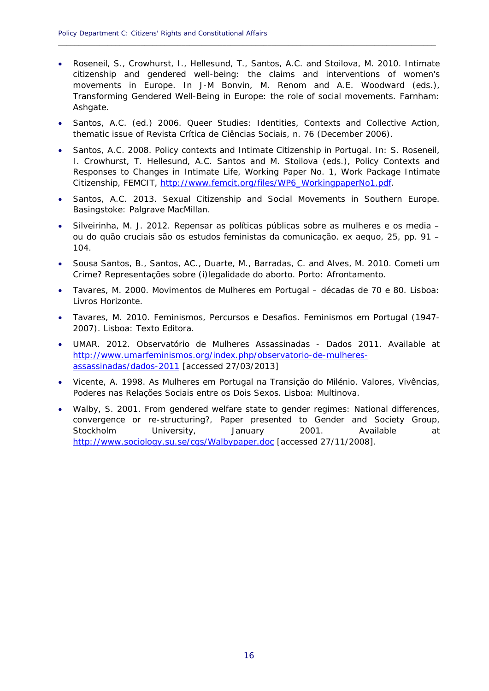Roseneil, S., Crowhurst, I., Hellesund, T., Santos, A.C. and Stoilova, M. 2010. Intimate citizenship and gendered well-being: the claims and interventions of women's movements in Europe. In J-M Bonvin, M. Renom and A.E. Woodward (eds.), *Transforming Gendered Well-Being in Europe: the role of social movements*. Farnham: Ashgate.

**\_\_\_\_\_\_\_\_\_\_\_\_\_\_\_\_\_\_\_\_\_\_\_\_\_\_\_\_\_\_\_\_\_\_\_\_\_\_\_\_\_\_\_\_\_\_\_\_\_\_\_\_\_\_\_\_\_\_\_\_\_\_\_\_\_\_\_\_\_\_\_\_\_\_\_\_\_\_\_\_\_\_\_\_\_\_\_\_\_\_\_\_**

- Santos, A.C. (ed.) 2006. Queer Studies: Identities, Contexts and Collective Action, thematic issue of *Revista Crítica de Ciências Sociais*, n. 76 (December 2006).
- Santos, A.C. 2008. Policy contexts and Intimate Citizenship in Portugal. In: S. Roseneil, I. Crowhurst, T. Hellesund, A.C. Santos and M. Stoilova (eds.), *Policy Contexts and Responses to Changes in Intimate Life*, Working Paper No. 1, Work Package Intimate Citizenship, FEMCIT, http://www.femcit.org/files/WP6\_WorkingpaperNo1.pdf.
- Santos, A.C. 2013. *Sexual Citizenship and Social Movements in Southern Europe*. Basingstoke: Palgrave MacMillan.
- Silveirinha, M. J. 2012. Repensar as políticas públicas sobre as mulheres e os media ou do quão cruciais são os estudos feministas da comunicação. *ex aequo*, 25, pp. 91 – 104.
- Sousa Santos, B., Santos, AC., Duarte, M., Barradas, C. and Alves, M. 2010. *Cometi um Crime? Representações sobre (i)legalidade do aborto*. Porto: Afrontamento.
- $\bullet$ Tavares, M. 2000. *Movimentos de Mulheres em Portugal – décadas de 70 e 80*. Lisboa: Livros Horizonte.
- Tavares, M. 2010. *Feminismos, Percursos e Desafios. Feminismos em Portugal (1947 2007)*. Lisboa: Texto Editora.
- UMAR. 2012. *Observatório de Mulheres Assassinadas Dados 2011*. Available at http://www.umarfeminismos.org/index.php/observatorio-de-mulheresassassinadas/dados-2011 [accessed 27/03/2013]
- Vicente, A. 1998. *As Mulheres em Portugal na Transição do Milénio. Valores, Vivências, Poderes nas Relações Sociais entre os Dois Sexos*. Lisboa: Multinova.
- Walby, S. 2001. From gendered welfare state to gender regimes: National differences, convergence or re-structuring?, Paper presented to Gender and Society Group, Stockholm University, January 2001. Available at http://www.sociology.su.se/cgs/Walbypaper.doc [accessed 27/11/2008].